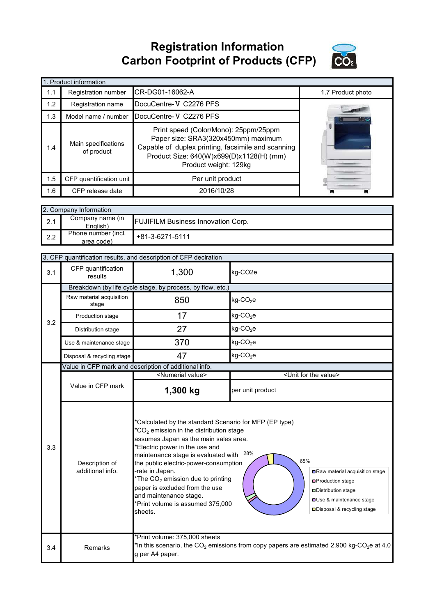**Registration Information Carbon Footprint of Products (CFP)**



|     | 1. Product information            |                                                                                                                                                                                                         |                   |  |  |  |
|-----|-----------------------------------|---------------------------------------------------------------------------------------------------------------------------------------------------------------------------------------------------------|-------------------|--|--|--|
| 1.1 | Registration number               | CR-DG01-16062-A                                                                                                                                                                                         | 1.7 Product photo |  |  |  |
| 1.2 | Registration name                 | DocuCentre-V C2276 PFS                                                                                                                                                                                  |                   |  |  |  |
| 1.3 | Model name / number               | DocuCentre-V C2276 PFS                                                                                                                                                                                  |                   |  |  |  |
| 1.4 | Main specifications<br>of product | Print speed (Color/Mono): 25ppm/25ppm<br>Paper size: SRA3(320x450mm) maximum<br>Capable of duplex printing, facsimile and scanning<br>Product Size: 640(W)x699(D)x1128(H) (mm)<br>Product weight: 129kg |                   |  |  |  |
| 1.5 | CFP quantification unit           | Per unit product                                                                                                                                                                                        |                   |  |  |  |
| 1.6 | CFP release date                  | 2016/10/28                                                                                                                                                                                              |                   |  |  |  |

|     | 2. Company Information            |                                           |  |  |  |
|-----|-----------------------------------|-------------------------------------------|--|--|--|
| 2.1 | Company name (in<br>English)      | <b>FUJIFILM Business Innovation Corp.</b> |  |  |  |
| 2.2 | Phone number (incl.<br>area code) | $1 + 81 - 3 - 6271 - 5111$                |  |  |  |

|     | 3. CFP quantification results, and description of CFP declration |                                                                                                                                                                                                                                                                                                                                                                                                                                                                                                                                                                                                                                                         |                                                                                                                   |  |
|-----|------------------------------------------------------------------|---------------------------------------------------------------------------------------------------------------------------------------------------------------------------------------------------------------------------------------------------------------------------------------------------------------------------------------------------------------------------------------------------------------------------------------------------------------------------------------------------------------------------------------------------------------------------------------------------------------------------------------------------------|-------------------------------------------------------------------------------------------------------------------|--|
| 3.1 | CFP quantification<br>results                                    | 1,300                                                                                                                                                                                                                                                                                                                                                                                                                                                                                                                                                                                                                                                   | kg-CO2e                                                                                                           |  |
|     | Breakdown (by life cycle stage, by process, by flow, etc.)       |                                                                                                                                                                                                                                                                                                                                                                                                                                                                                                                                                                                                                                                         |                                                                                                                   |  |
|     | Raw material acquisition<br>stage                                | 850                                                                                                                                                                                                                                                                                                                                                                                                                                                                                                                                                                                                                                                     | $kg$ -CO <sub>2</sub> e                                                                                           |  |
| 3.2 | Production stage                                                 | 17                                                                                                                                                                                                                                                                                                                                                                                                                                                                                                                                                                                                                                                      | $kg$ -CO <sub>2</sub> e                                                                                           |  |
|     | Distribution stage                                               | 27                                                                                                                                                                                                                                                                                                                                                                                                                                                                                                                                                                                                                                                      | $kg$ -CO <sub>2</sub> e                                                                                           |  |
|     | Use & maintenance stage                                          | 370                                                                                                                                                                                                                                                                                                                                                                                                                                                                                                                                                                                                                                                     | $kg$ -CO <sub>2</sub> e                                                                                           |  |
|     | Disposal & recycling stage                                       | 47                                                                                                                                                                                                                                                                                                                                                                                                                                                                                                                                                                                                                                                      | $kg$ -CO <sub>2</sub> e                                                                                           |  |
|     |                                                                  | Value in CFP mark and description of additional info.                                                                                                                                                                                                                                                                                                                                                                                                                                                                                                                                                                                                   |                                                                                                                   |  |
|     |                                                                  | <numerial value=""></numerial>                                                                                                                                                                                                                                                                                                                                                                                                                                                                                                                                                                                                                          | <unit for="" the="" value=""></unit>                                                                              |  |
|     | Value in CFP mark                                                | 1,300 kg                                                                                                                                                                                                                                                                                                                                                                                                                                                                                                                                                                                                                                                | per unit product                                                                                                  |  |
| 3.3 | Description of<br>additional info.                               | *Calculated by the standard Scenario for MFP (EP type)<br>${}^{\star}CO_{2}$ emission in the distribution stage<br>assumes Japan as the main sales area.<br>*Electric power in the use and<br>28%<br>maintenance stage is evaluated with<br>65%<br>the public electric-power-consumption<br>-rate in Japan.<br>Raw material acquisition stage<br>*The CO <sub>2</sub> emission due to printing<br><b>□Production stage</b><br>paper is excluded from the use<br>□ Distribution stage<br>and maintenance stage.<br>Use & maintenance stage<br>*Print volume is assumed 375,000<br>Disposal & recycling stage<br>sheets.<br>*Print volume: 375,000 sheets |                                                                                                                   |  |
| 3.4 | Remarks                                                          | g per A4 paper.                                                                                                                                                                                                                                                                                                                                                                                                                                                                                                                                                                                                                                         | *In this scenario, the CO <sub>2</sub> emissions from copy papers are estimated 2,900 kg-CO <sub>2</sub> e at 4.0 |  |